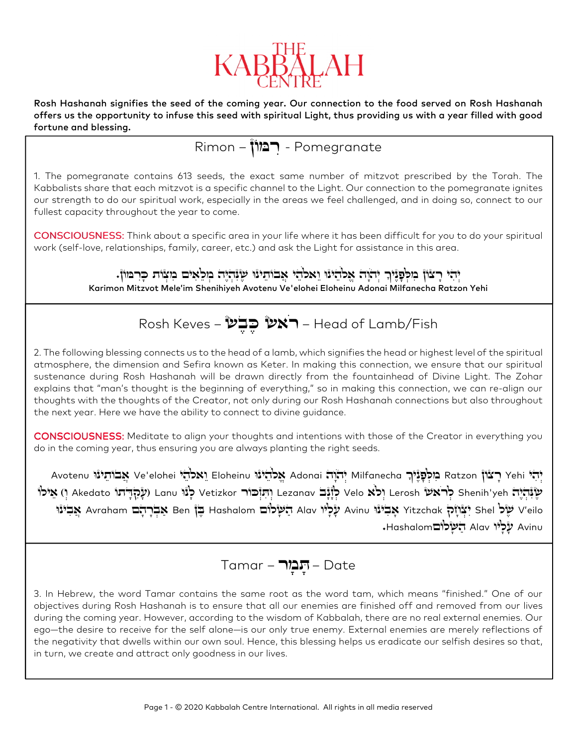

Rosh Hashanah signifies the seed of the coming year. Our connection to the food served on Rosh Hashanah offers us the opportunity to infuse this seed with spiritual Light, thus providing us with a year filled with good fortune and blessing.

Pomegranate - ּרִ מֹון – Rimon

1. The pomegranate contains 613 seeds, the exact same number of mitzvot prescribed by the Torah. The Kabbalists share that each mitzvot is a specific channel to the Light. Our connection to the pomegranate ignites our strength to do our spiritual work, especially in the areas we feel challenged, and in doing so, connect to our fullest capacity throughout the year to come.

CONSCIOUSNESS: Think about a specific area in your life where it has been difficult for you to do your spiritual work (self-love, relationships, family, career, etc.) and ask the Light for assistance in this area.

> ְיָהִי רָצְוֹן מִלְפָנֶיִךְ יְהֹוָה אֱלֹהֵינוּ וֵאלֹהֵי אֲבֹוּהֵינוּ שָׂנִּהְיֶיָה מְלֵאִים מִצְוֹת כָּרִמּוֹן. Karimon Mitzvot Mele'im Shenihiyeh Avotenu Ve'elohei Eloheinu Adonai Milfanecha Ratzon Yehi

## Head of Lamb/Fish – **ראש כֶּבֶש** – Rosh Keves

2. The following blessing connects us to the head of a lamb, which signifies the head or highest level of the spiritual atmosphere, the dimension and Sefira known as Keter. In making this connection, we ensure that our spiritual sustenance during Rosh Hashanah will be drawn directly from the fountainhead of Divine Light. The Zohar explains that "man's thought is the beginning of everything," so in making this connection, we can re-align our thoughts with the thoughts of the Creator, not only during our Rosh Hashanah connections but also throughout the next year. Here we have the ability to connect to divine guidance.

CONSCIOUSNESS: Meditate to align your thoughts and intentions with those of the Creator in everything you do in the coming year, thus ensuring you are always planting the right seeds.

Avotenu יְהִי Yehi הֲיִלְפָּנֵיׁוּךְ Milfanecha יְהֹוָה Ratzon מֲלֹהֵינוּ Ue'elohei וֵאלֹהֵי Elohein אֲבוֹתֵינו יִתְּוָּבוֹר Shenih'yeh לְנֹוּ Velo לְרֹאש Lerosh וְהִוֹּכוֹר Vetizkor לְנוֹ Lezanav אֲילוֹ Shenih'yeh וְאֵילו eilo'V ׁ ל שֶ Shel יִצְ חָ ק Yitzchak ּ אָ בִ ינו Avinu עָלָיו Alav ׁהַ ש ֹ ּ ָלום Hashalom ּבֶ ן Ben אַ בְ רָ הָ ם Avraham ּ אֲבִ ינו Avinu עַלוֹי Alav הֹשׁלוֹם Hashalom.

$$
Tamar - \prod_{\tau} \prod_{\tau} - Date
$$

3. In Hebrew, the word Tamar contains the same root as the word tam, which means "finished." One of our objectives during Rosh Hashanah is to ensure that all our enemies are finished off and removed from our lives during the coming year. However, according to the wisdom of Kabbalah, there are no real external enemies. Our ego—the desire to receive for the self alone—is our only true enemy. External enemies are merely reflections of the negativity that dwells within our own soul. Hence, this blessing helps us eradicate our selfish desires so that, in turn, we create and attract only goodness in our lives.

 $\overline{a}$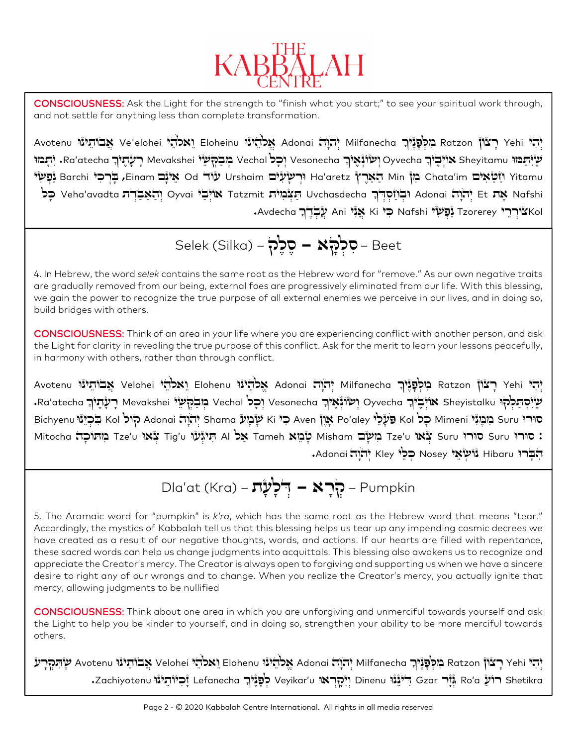

CONSCIOUSNESS: Ask the Light for the strength to "finish what you start;" to see your spiritual work through, and not settle for anything less than complete transformation.

יְהִי Yehi יְהֹי Yehi בִּיכְתָינוּ Milfanecha יְהֹוּה Adonai יְהֹוֹת Elohei אֱכֹהִינוּ Ve'elohei יְהֹוּ Ketzon שָׂיִּתַּבּוּוּ Sheyitamu אוֹיְבֻיֹךְ Oyvecha יִשְׂוֹנְאָיֹךְ Vesonecha וְכָל Vesonecha רָעָרֶאָךָ Sheyitamu יָתְבוּוּ עוֹר Urshaim מַיֹּנָם Min הַאֲרָץ' Min הַאֲרָץ' Min הַאֲרָץ' Ad'aretz (רִשְׂעָיׁם Chata'im בִּוֹ Od אֵינָם Od א ِ יְהֹאֲבָדֶת Uvchasdecha וּבְוֹסְדֶךְ Adonai יִהְאֵבְדָת Et אוּיְבַי Oyvai אֲנִיה Tatzmit אֲ Uvchasdecha כָּל . ָ עֲבְ דֶ ך Avdecha ּכ Ki אֲנִי Ani ׁ נַפְ שי Nafshi ִ י Kol ֹצורְ רֵ י Tzorerey ִ

$$
\mathsf{Select}\left(\mathsf{Silka}\right) - \textit{Sék} \blacktriangleleft \blacktriangleleft \mathsf{P} - \textit{Beet}
$$

l

4. In Hebrew, the word *selek* contains the same root as the Hebrew word for "remove." As our own negative traits are gradually removed from our being, external foes are progressively eliminated from our life. With this blessing, we gain the power to recognize the true purpose of all external enemies we perceive in our lives, and in doing so, build bridges with others.

CONSCIOUSNESS: Think of an area in your life where you are experiencing conflict with another person, and ask the Light for clarity in revealing the true purpose of this conflict. Ask for the merit to learn your lessons peacefully, in harmony with others, rather than through conflict.

Avotenu יְהִיּ Yehi רְצֹוֹן Patzon בִּוּכְפָּגֶּיֹךָ Milfanecha יְהֹיָנוּ Velohei אֱכֹוֹהֵינוּ Elohenu אֲבוֹתֵינוּ Welohei بِمِحْدَا Avotenu יִ Sheyistalku הַבָּהְעָי Vesonecha הַבְּהְעָי Vesonecha יִכְל Vesonecha הַלְחָתְלֹה Sheyistalku יָ יָעָהֵיךָ Bichyenu בִּוּכֵּוּגִּי Suru בִּוּכְוֹל Kol פַּעְלֵל Bo'aley אָוֶן Adonai יִהְוָה Shama יְהֹוָה Suru הָוֹל Kol תֵּיגְּעוֹ Tze'u שְׁאוּ Tze'u אַ Tze'u אָל Tig'u שְׁמֵא Tameh אַל Al הְיִיגְעוֹ עַ Tameh פֿורו U'S סורו Suru ג יְהֹוֹה Kley גוֹשׂאי Nosey כּכוֹי Kley וֹהֹוֹה Adonai.

Dla'at (Kra) – 
$$
\vec{P}
$$
רִּלִּלְּדָ $-$  Pumpkin

5. The Aramaic word for "pumpkin" is *k'ra*, which has the same root as the Hebrew word that means "tear." Accordingly, the mystics of Kabbalah tell us that this blessing helps us tear up any impending cosmic decrees we have created as a result of our negative thoughts, words, and actions. If our hearts are filled with repentance, these sacred words can help us change judgments into acquittals. This blessing also awakens us to recognize and appreciate the Creator's mercy. The Creator is always open to forgiving and supporting us when we have a sincere desire to right any of our wrongs and to change. When you realize the Creator's mercy, you actually ignite that mercy, allowing judgments to be nullified

CONSCIOUSNESS: CONSCIOUSNESS: Think about one area in which you are unforgiving and unmerciful towards yourself and ask the Light to help you be kinder to yourself, and in doing so, strengthen your ability to be more merciful towards others.

יָהִי Yehi יָהֹי Yehi בִּוּכְהֲרָע Adonai יְהֹוָה Milfanecha אֱכֹהֲינוּ Velohei וֵאכֹהֵי Velohei יְהִל Yehi שְׁהַכְרָע Shetikra רועַ Ro'a גְּזָר Binenu יִיהְרָאוּ Ueyikar'u יְאֲלוֹהָ Dinenu בּוֹעַ Gzar יְיֹּנְגוֹ Ro'a בּוֹיתֵינו